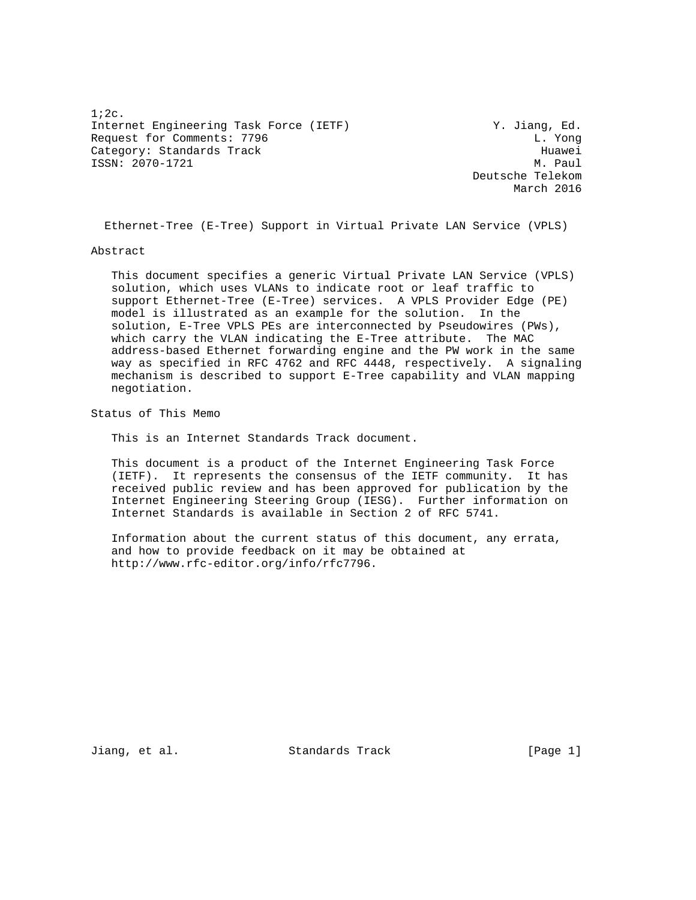1;2c. Internet Engineering Task Force (IETF) Y. Jiang, Ed. Request for Comments: 7796 L. Yong Category: Standards Track Huawei ISSN: 2070-1721 M. Paul

 Deutsche Telekom March 2016

Ethernet-Tree (E-Tree) Support in Virtual Private LAN Service (VPLS)

Abstract

 This document specifies a generic Virtual Private LAN Service (VPLS) solution, which uses VLANs to indicate root or leaf traffic to support Ethernet-Tree (E-Tree) services. A VPLS Provider Edge (PE) model is illustrated as an example for the solution. In the solution, E-Tree VPLS PEs are interconnected by Pseudowires (PWs), which carry the VLAN indicating the E-Tree attribute. The MAC address-based Ethernet forwarding engine and the PW work in the same way as specified in RFC 4762 and RFC 4448, respectively. A signaling mechanism is described to support E-Tree capability and VLAN mapping negotiation.

Status of This Memo

This is an Internet Standards Track document.

 This document is a product of the Internet Engineering Task Force (IETF). It represents the consensus of the IETF community. It has received public review and has been approved for publication by the Internet Engineering Steering Group (IESG). Further information on Internet Standards is available in Section 2 of RFC 5741.

 Information about the current status of this document, any errata, and how to provide feedback on it may be obtained at http://www.rfc-editor.org/info/rfc7796.

Jiang, et al. Standards Track [Page 1]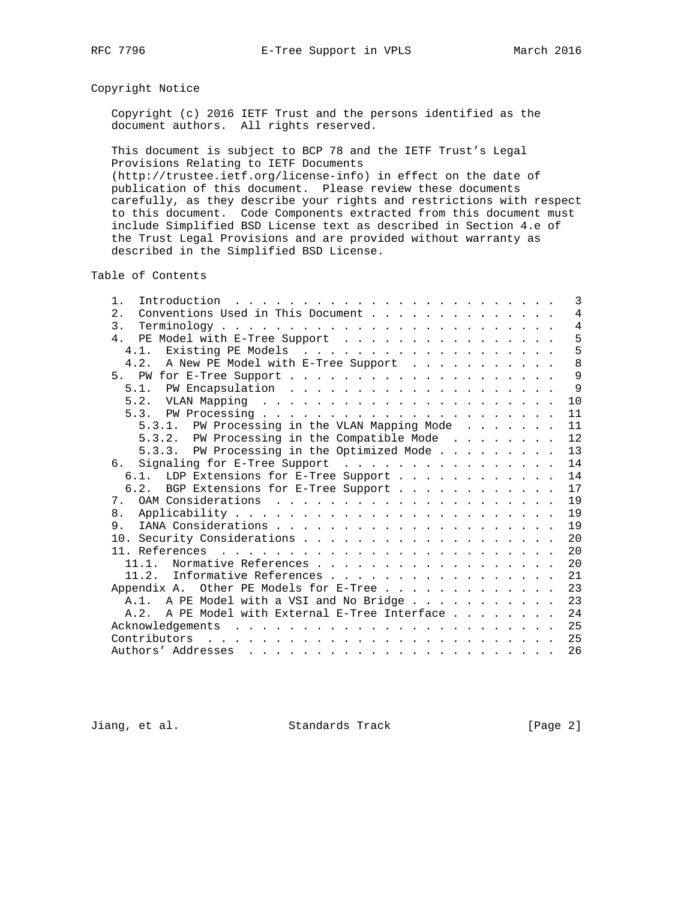## Copyright Notice

 Copyright (c) 2016 IETF Trust and the persons identified as the document authors. All rights reserved.

 This document is subject to BCP 78 and the IETF Trust's Legal Provisions Relating to IETF Documents

 (http://trustee.ietf.org/license-info) in effect on the date of publication of this document. Please review these documents carefully, as they describe your rights and restrictions with respect to this document. Code Components extracted from this document must include Simplified BSD License text as described in Section 4.e of the Trust Legal Provisions and are provided without warranty as described in the Simplified BSD License.

Table of Contents

| $1$ .                                          | 3              |
|------------------------------------------------|----------------|
| Conventions Used in This Document<br>2.        | $\overline{4}$ |
| 3 <sub>1</sub>                                 | $\overline{4}$ |
| 4. PE Model with E-Tree Support                | 5              |
| Existing PE Models<br>$4.1$ .                  | 5              |
| 4.2. A New PE Model with E-Tree Support        | 8              |
|                                                | 9              |
|                                                | $\mathsf{Q}$   |
|                                                | 10             |
|                                                | 11             |
| 5.3.1. PW Processing in the VLAN Mapping Mode  | 11             |
| 5.3.2. PW Processing in the Compatible Mode    | 12             |
| 5.3.3. PW Processing in the Optimized Mode     | 13             |
| 6. Signaling for E-Tree Support                | 14             |
| 6.1. LDP Extensions for E-Tree Support         | 14             |
| 6.2. BGP Extensions for E-Tree Support         | 17             |
|                                                | 19             |
| 8.                                             | 19             |
| 9.                                             | 19             |
|                                                | 20             |
|                                                | 20             |
| Normative References<br>11 1                   | 20             |
| 11.2. Informative References                   | 21             |
| Appendix A. Other PE Models for E-Tree         | 23             |
| A.1. A PE Model with a VSI and No Bridge       | 23             |
| A.2. A PE Model with External E-Tree Interface | 24             |
|                                                | 25             |
|                                                | 25             |
|                                                | 26             |
|                                                |                |

Jiang, et al. Standards Track [Page 2]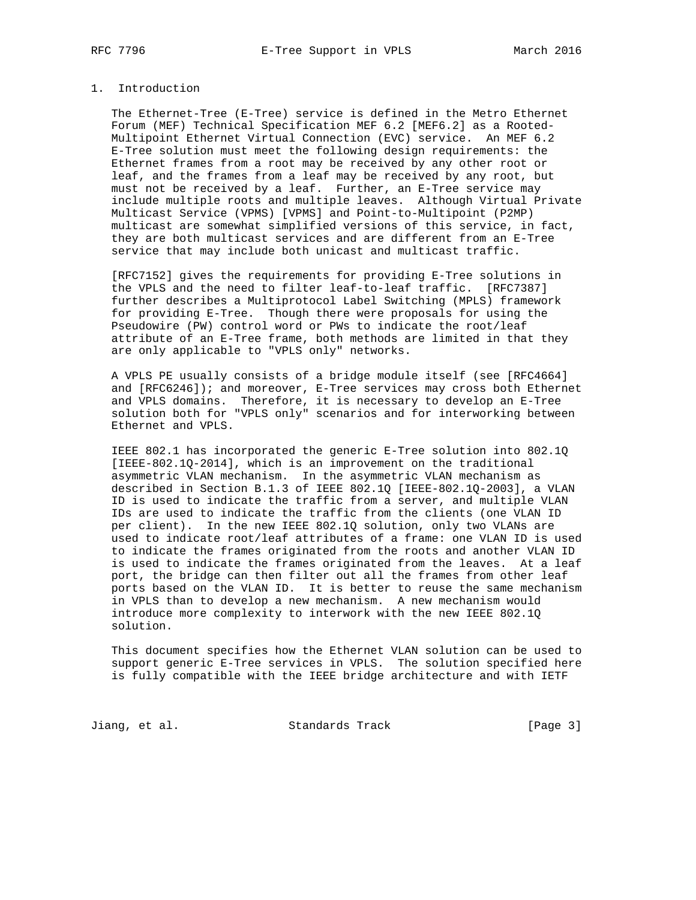### 1. Introduction

 The Ethernet-Tree (E-Tree) service is defined in the Metro Ethernet Forum (MEF) Technical Specification MEF 6.2 [MEF6.2] as a Rooted- Multipoint Ethernet Virtual Connection (EVC) service. An MEF 6.2 E-Tree solution must meet the following design requirements: the Ethernet frames from a root may be received by any other root or leaf, and the frames from a leaf may be received by any root, but must not be received by a leaf. Further, an E-Tree service may include multiple roots and multiple leaves. Although Virtual Private Multicast Service (VPMS) [VPMS] and Point-to-Multipoint (P2MP) multicast are somewhat simplified versions of this service, in fact, they are both multicast services and are different from an E-Tree service that may include both unicast and multicast traffic.

 [RFC7152] gives the requirements for providing E-Tree solutions in the VPLS and the need to filter leaf-to-leaf traffic. [RFC7387] further describes a Multiprotocol Label Switching (MPLS) framework for providing E-Tree. Though there were proposals for using the Pseudowire (PW) control word or PWs to indicate the root/leaf attribute of an E-Tree frame, both methods are limited in that they are only applicable to "VPLS only" networks.

 A VPLS PE usually consists of a bridge module itself (see [RFC4664] and [RFC6246]); and moreover, E-Tree services may cross both Ethernet and VPLS domains. Therefore, it is necessary to develop an E-Tree solution both for "VPLS only" scenarios and for interworking between Ethernet and VPLS.

 IEEE 802.1 has incorporated the generic E-Tree solution into 802.1Q [IEEE-802.1Q-2014], which is an improvement on the traditional asymmetric VLAN mechanism. In the asymmetric VLAN mechanism as described in Section B.1.3 of IEEE 802.1Q [IEEE-802.1Q-2003], a VLAN ID is used to indicate the traffic from a server, and multiple VLAN IDs are used to indicate the traffic from the clients (one VLAN ID per client). In the new IEEE 802.1Q solution, only two VLANs are used to indicate root/leaf attributes of a frame: one VLAN ID is used to indicate the frames originated from the roots and another VLAN ID is used to indicate the frames originated from the leaves. At a leaf port, the bridge can then filter out all the frames from other leaf ports based on the VLAN ID. It is better to reuse the same mechanism in VPLS than to develop a new mechanism. A new mechanism would introduce more complexity to interwork with the new IEEE 802.1Q solution.

 This document specifies how the Ethernet VLAN solution can be used to support generic E-Tree services in VPLS. The solution specified here is fully compatible with the IEEE bridge architecture and with IETF

Jiang, et al. Standards Track [Page 3]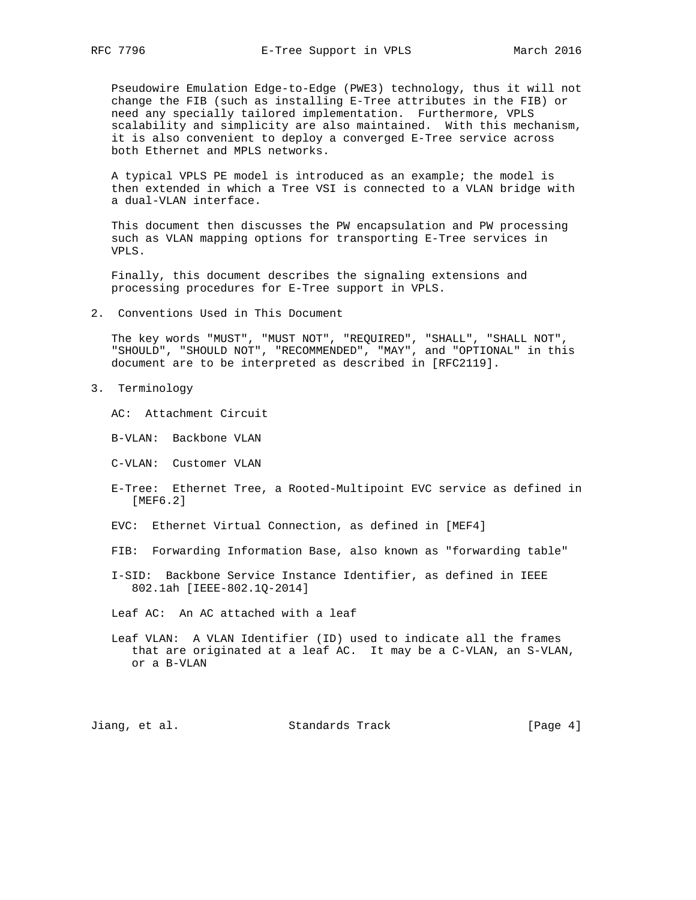Pseudowire Emulation Edge-to-Edge (PWE3) technology, thus it will not change the FIB (such as installing E-Tree attributes in the FIB) or need any specially tailored implementation. Furthermore, VPLS scalability and simplicity are also maintained. With this mechanism, it is also convenient to deploy a converged E-Tree service across both Ethernet and MPLS networks.

 A typical VPLS PE model is introduced as an example; the model is then extended in which a Tree VSI is connected to a VLAN bridge with a dual-VLAN interface.

 This document then discusses the PW encapsulation and PW processing such as VLAN mapping options for transporting E-Tree services in VPLS.

 Finally, this document describes the signaling extensions and processing procedures for E-Tree support in VPLS.

2. Conventions Used in This Document

 The key words "MUST", "MUST NOT", "REQUIRED", "SHALL", "SHALL NOT", "SHOULD", "SHOULD NOT", "RECOMMENDED", "MAY", and "OPTIONAL" in this document are to be interpreted as described in [RFC2119].

3. Terminology

AC: Attachment Circuit

B-VLAN: Backbone VLAN

C-VLAN: Customer VLAN

 E-Tree: Ethernet Tree, a Rooted-Multipoint EVC service as defined in [MEF6.2]

EVC: Ethernet Virtual Connection, as defined in [MEF4]

- FIB: Forwarding Information Base, also known as "forwarding table"
- I-SID: Backbone Service Instance Identifier, as defined in IEEE 802.1ah [IEEE-802.1Q-2014]

Leaf AC: An AC attached with a leaf

 Leaf VLAN: A VLAN Identifier (ID) used to indicate all the frames that are originated at a leaf AC. It may be a C-VLAN, an S-VLAN, or a B-VLAN

Jiang, et al. Standards Track [Page 4]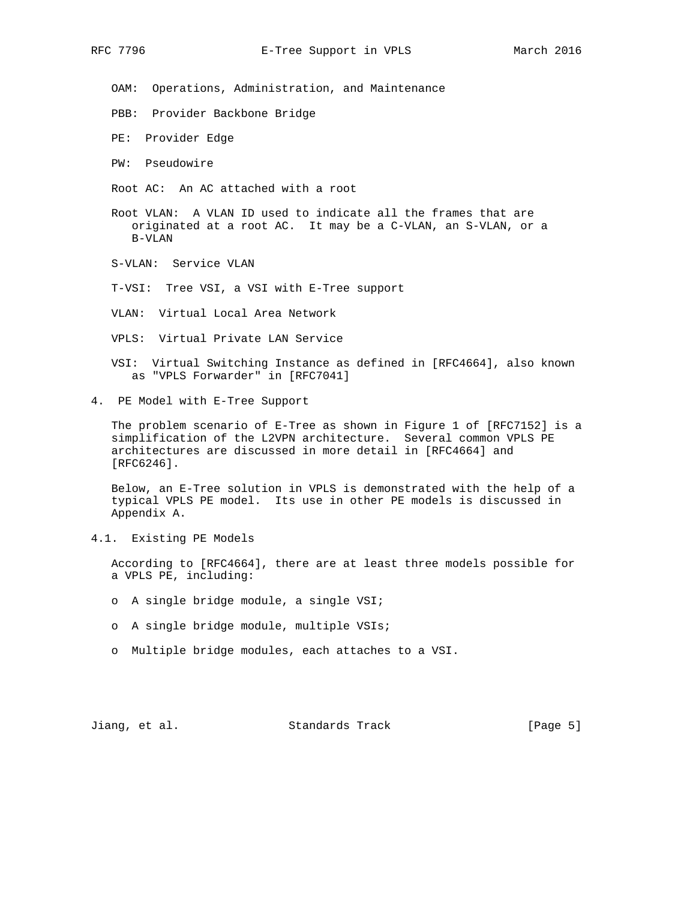OAM: Operations, Administration, and Maintenance

- PBB: Provider Backbone Bridge
- PE: Provider Edge
- PW: Pseudowire
- Root AC: An AC attached with a root
- Root VLAN: A VLAN ID used to indicate all the frames that are originated at a root AC. It may be a C-VLAN, an S-VLAN, or a B-VLAN
- S-VLAN: Service VLAN
- T-VSI: Tree VSI, a VSI with E-Tree support
- VLAN: Virtual Local Area Network
- VPLS: Virtual Private LAN Service
- VSI: Virtual Switching Instance as defined in [RFC4664], also known as "VPLS Forwarder" in [RFC7041]
- 4. PE Model with E-Tree Support

 The problem scenario of E-Tree as shown in Figure 1 of [RFC7152] is a simplification of the L2VPN architecture. Several common VPLS PE architectures are discussed in more detail in [RFC4664] and [RFC6246].

 Below, an E-Tree solution in VPLS is demonstrated with the help of a typical VPLS PE model. Its use in other PE models is discussed in Appendix A.

4.1. Existing PE Models

 According to [RFC4664], there are at least three models possible for a VPLS PE, including:

- o A single bridge module, a single VSI;
- o A single bridge module, multiple VSIs;
- o Multiple bridge modules, each attaches to a VSI.

Jiang, et al. Standards Track [Page 5]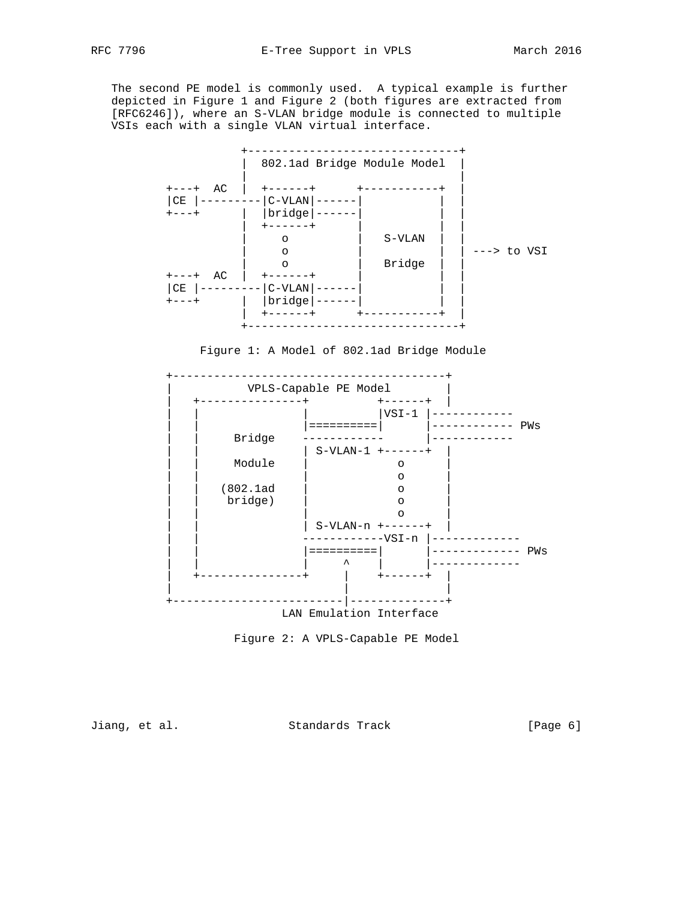The second PE model is commonly used. A typical example is further depicted in Figure 1 and Figure 2 (both figures are extracted from [RFC6246]), where an S-VLAN bridge module is connected to multiple VSIs each with a single VLAN virtual interface.









Jiang, et al. Standards Track [Page 6]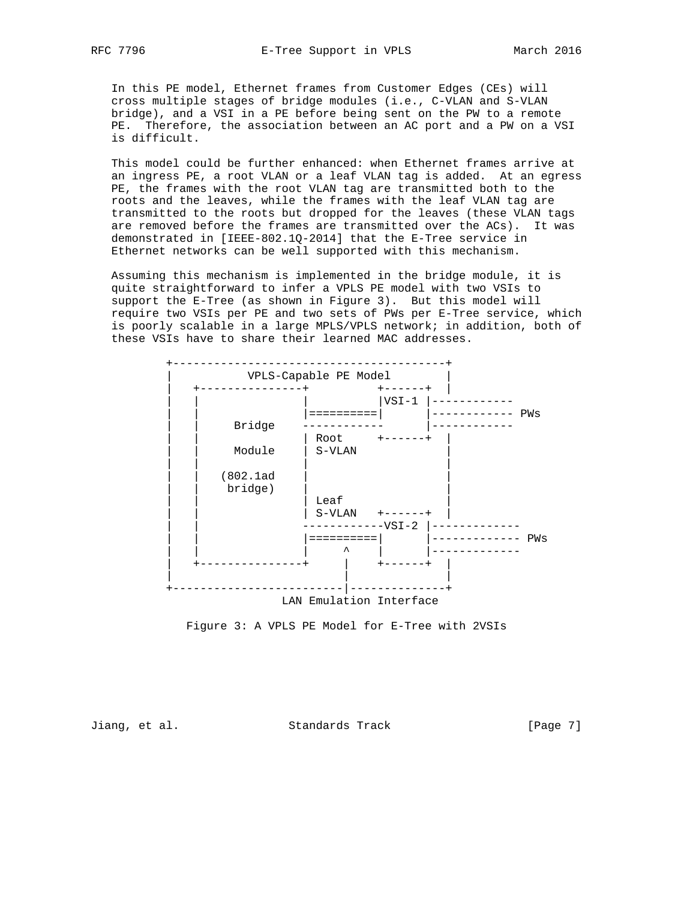In this PE model, Ethernet frames from Customer Edges (CEs) will cross multiple stages of bridge modules (i.e., C-VLAN and S-VLAN bridge), and a VSI in a PE before being sent on the PW to a remote PE. Therefore, the association between an AC port and a PW on a VSI is difficult.

 This model could be further enhanced: when Ethernet frames arrive at an ingress PE, a root VLAN or a leaf VLAN tag is added. At an egress PE, the frames with the root VLAN tag are transmitted both to the roots and the leaves, while the frames with the leaf VLAN tag are transmitted to the roots but dropped for the leaves (these VLAN tags are removed before the frames are transmitted over the ACs). It was demonstrated in [IEEE-802.1Q-2014] that the E-Tree service in Ethernet networks can be well supported with this mechanism.

 Assuming this mechanism is implemented in the bridge module, it is quite straightforward to infer a VPLS PE model with two VSIs to support the E-Tree (as shown in Figure 3). But this model will require two VSIs per PE and two sets of PWs per E-Tree service, which is poorly scalable in a large MPLS/VPLS network; in addition, both of these VSIs have to share their learned MAC addresses.



Figure 3: A VPLS PE Model for E-Tree with 2VSIs

Jiang, et al. Standards Track [Page 7]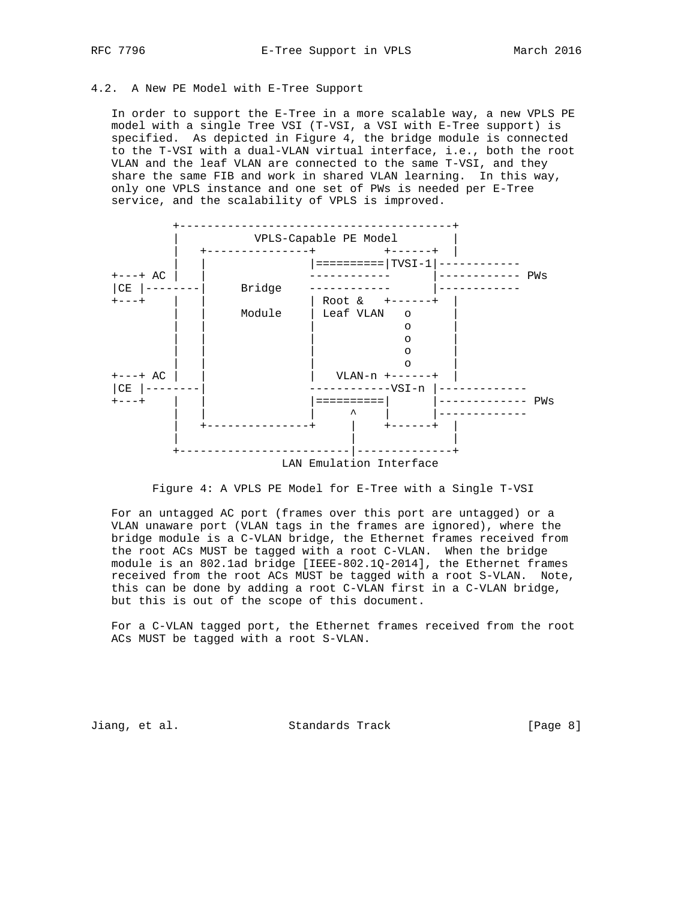#### 4.2. A New PE Model with E-Tree Support

 In order to support the E-Tree in a more scalable way, a new VPLS PE model with a single Tree VSI (T-VSI, a VSI with E-Tree support) is specified. As depicted in Figure 4, the bridge module is connected to the T-VSI with a dual-VLAN virtual interface, i.e., both the root VLAN and the leaf VLAN are connected to the same T-VSI, and they share the same FIB and work in shared VLAN learning. In this way, only one VPLS instance and one set of PWs is needed per E-Tree service, and the scalability of VPLS is improved.



Figure 4: A VPLS PE Model for E-Tree with a Single T-VSI

 For an untagged AC port (frames over this port are untagged) or a VLAN unaware port (VLAN tags in the frames are ignored), where the bridge module is a C-VLAN bridge, the Ethernet frames received from the root ACs MUST be tagged with a root C-VLAN. When the bridge module is an 802.1ad bridge [IEEE-802.1Q-2014], the Ethernet frames received from the root ACs MUST be tagged with a root S-VLAN. Note, this can be done by adding a root C-VLAN first in a C-VLAN bridge, but this is out of the scope of this document.

 For a C-VLAN tagged port, the Ethernet frames received from the root ACs MUST be tagged with a root S-VLAN.

Jiang, et al. Standards Track [Page 8]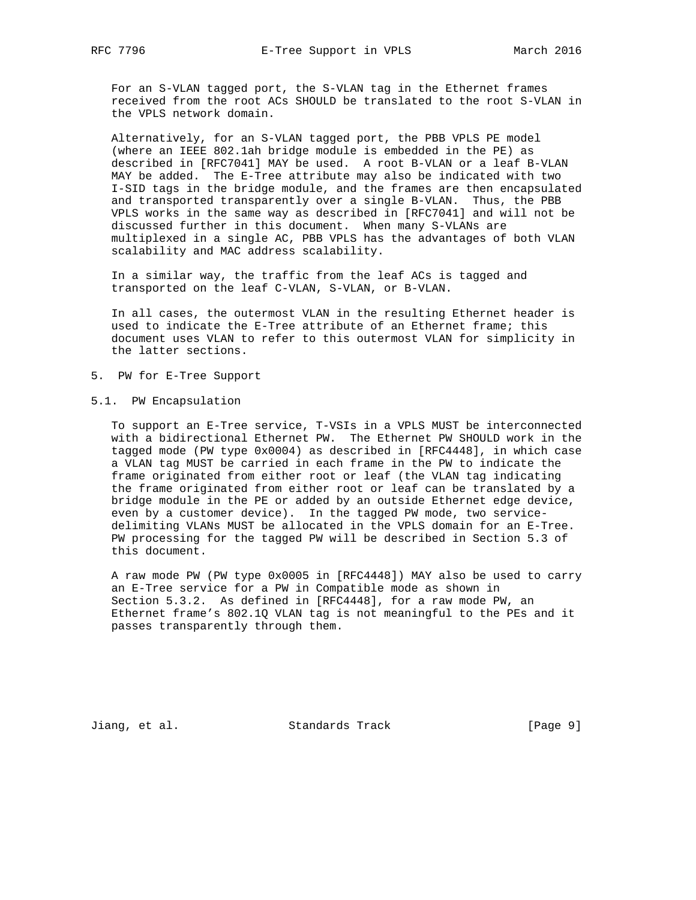For an S-VLAN tagged port, the S-VLAN tag in the Ethernet frames received from the root ACs SHOULD be translated to the root S-VLAN in the VPLS network domain.

 Alternatively, for an S-VLAN tagged port, the PBB VPLS PE model (where an IEEE 802.1ah bridge module is embedded in the PE) as described in [RFC7041] MAY be used. A root B-VLAN or a leaf B-VLAN MAY be added. The E-Tree attribute may also be indicated with two I-SID tags in the bridge module, and the frames are then encapsulated and transported transparently over a single B-VLAN. Thus, the PBB VPLS works in the same way as described in [RFC7041] and will not be discussed further in this document. When many S-VLANs are multiplexed in a single AC, PBB VPLS has the advantages of both VLAN scalability and MAC address scalability.

 In a similar way, the traffic from the leaf ACs is tagged and transported on the leaf C-VLAN, S-VLAN, or B-VLAN.

 In all cases, the outermost VLAN in the resulting Ethernet header is used to indicate the E-Tree attribute of an Ethernet frame; this document uses VLAN to refer to this outermost VLAN for simplicity in the latter sections.

- 5. PW for E-Tree Support
- 5.1. PW Encapsulation

 To support an E-Tree service, T-VSIs in a VPLS MUST be interconnected with a bidirectional Ethernet PW. The Ethernet PW SHOULD work in the tagged mode (PW type 0x0004) as described in [RFC4448], in which case a VLAN tag MUST be carried in each frame in the PW to indicate the frame originated from either root or leaf (the VLAN tag indicating the frame originated from either root or leaf can be translated by a bridge module in the PE or added by an outside Ethernet edge device, even by a customer device). In the tagged PW mode, two service delimiting VLANs MUST be allocated in the VPLS domain for an E-Tree. PW processing for the tagged PW will be described in Section 5.3 of this document.

 A raw mode PW (PW type 0x0005 in [RFC4448]) MAY also be used to carry an E-Tree service for a PW in Compatible mode as shown in Section 5.3.2. As defined in [RFC4448], for a raw mode PW, an Ethernet frame's 802.1Q VLAN tag is not meaningful to the PEs and it passes transparently through them.

Jiang, et al. Standards Track [Page 9]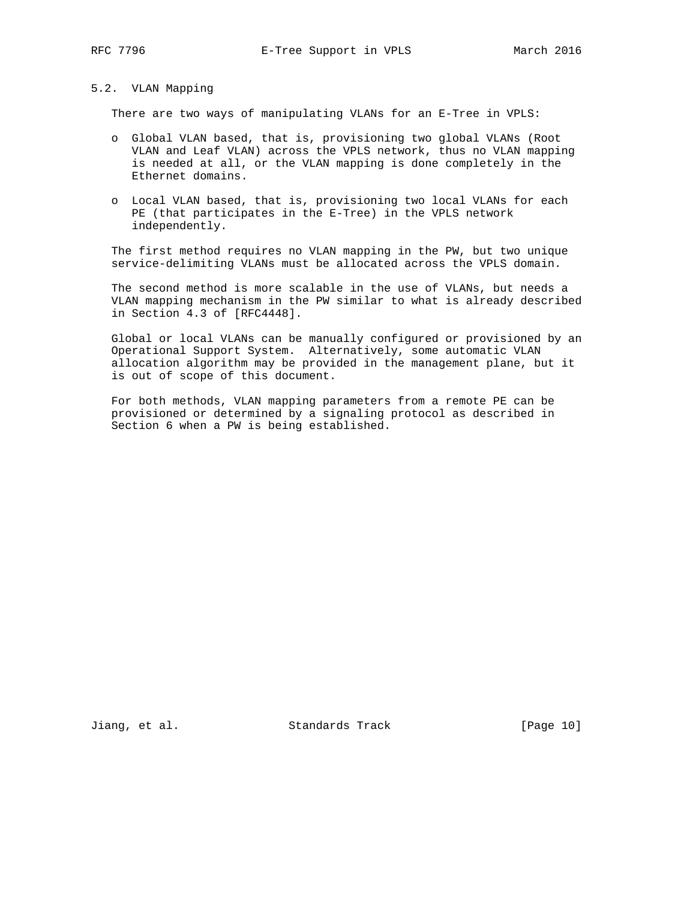#### 5.2. VLAN Mapping

There are two ways of manipulating VLANs for an E-Tree in VPLS:

- o Global VLAN based, that is, provisioning two global VLANs (Root VLAN and Leaf VLAN) across the VPLS network, thus no VLAN mapping is needed at all, or the VLAN mapping is done completely in the Ethernet domains.
- o Local VLAN based, that is, provisioning two local VLANs for each PE (that participates in the E-Tree) in the VPLS network independently.

 The first method requires no VLAN mapping in the PW, but two unique service-delimiting VLANs must be allocated across the VPLS domain.

 The second method is more scalable in the use of VLANs, but needs a VLAN mapping mechanism in the PW similar to what is already described in Section 4.3 of [RFC4448].

 Global or local VLANs can be manually configured or provisioned by an Operational Support System. Alternatively, some automatic VLAN allocation algorithm may be provided in the management plane, but it is out of scope of this document.

 For both methods, VLAN mapping parameters from a remote PE can be provisioned or determined by a signaling protocol as described in Section 6 when a PW is being established.

Jiang, et al. Standards Track [Page 10]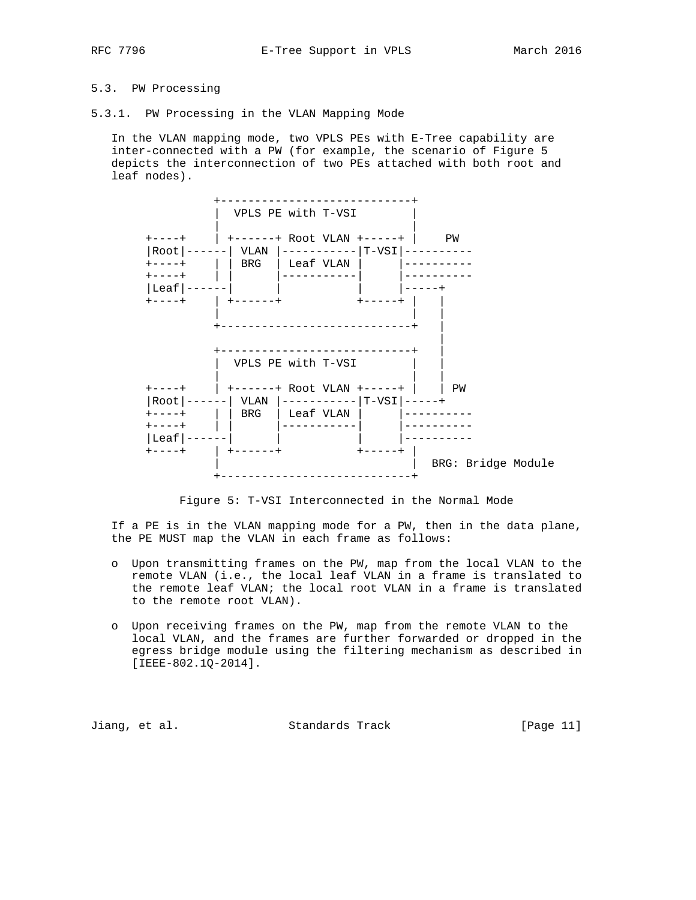# 5.3. PW Processing

5.3.1. PW Processing in the VLAN Mapping Mode

 In the VLAN mapping mode, two VPLS PEs with E-Tree capability are inter-connected with a PW (for example, the scenario of Figure 5 depicts the interconnection of two PEs attached with both root and leaf nodes).



Figure 5: T-VSI Interconnected in the Normal Mode

 If a PE is in the VLAN mapping mode for a PW, then in the data plane, the PE MUST map the VLAN in each frame as follows:

- o Upon transmitting frames on the PW, map from the local VLAN to the remote VLAN (i.e., the local leaf VLAN in a frame is translated to the remote leaf VLAN; the local root VLAN in a frame is translated to the remote root VLAN).
- o Upon receiving frames on the PW, map from the remote VLAN to the local VLAN, and the frames are further forwarded or dropped in the egress bridge module using the filtering mechanism as described in [IEEE-802.1Q-2014].

Jiang, et al. Standards Track [Page 11]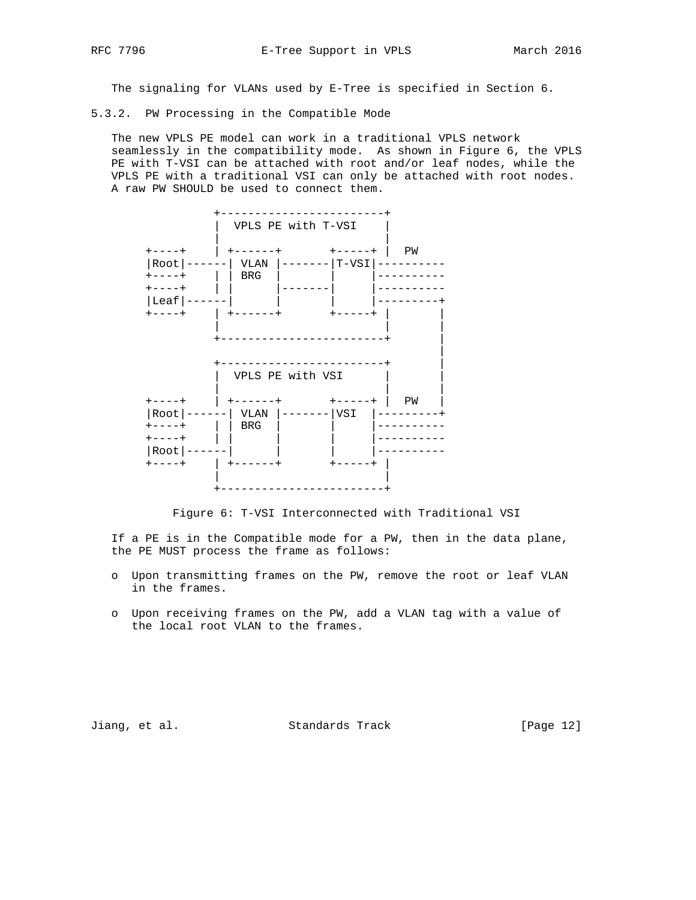The signaling for VLANs used by E-Tree is specified in Section 6.

5.3.2. PW Processing in the Compatible Mode

 The new VPLS PE model can work in a traditional VPLS network seamlessly in the compatibility mode. As shown in Figure 6, the VPLS PE with T-VSI can be attached with root and/or leaf nodes, while the VPLS PE with a traditional VSI can only be attached with root nodes. A raw PW SHOULD be used to connect them.



Figure 6: T-VSI Interconnected with Traditional VSI

 If a PE is in the Compatible mode for a PW, then in the data plane, the PE MUST process the frame as follows:

- o Upon transmitting frames on the PW, remove the root or leaf VLAN in the frames.
- o Upon receiving frames on the PW, add a VLAN tag with a value of the local root VLAN to the frames.

Jiang, et al. Standards Track [Page 12]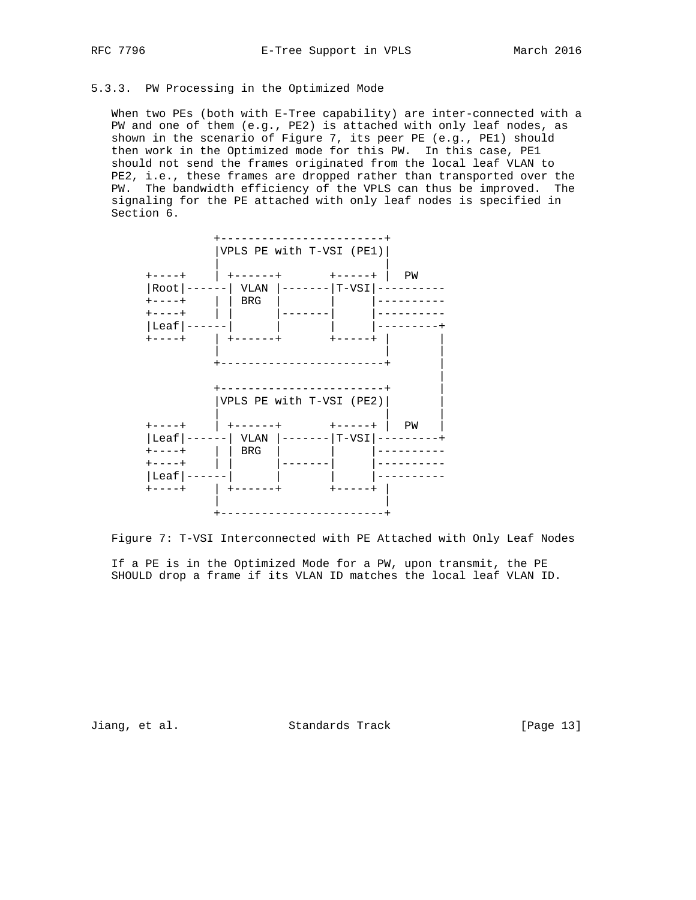# 5.3.3. PW Processing in the Optimized Mode

 When two PEs (both with E-Tree capability) are inter-connected with a PW and one of them (e.g., PE2) is attached with only leaf nodes, as shown in the scenario of Figure 7, its peer PE (e.g., PE1) should then work in the Optimized mode for this PW. In this case, PE1 should not send the frames originated from the local leaf VLAN to PE2, i.e., these frames are dropped rather than transported over the PW. The bandwidth efficiency of the VPLS can thus be improved. The signaling for the PE attached with only leaf nodes is specified in Section 6.



Figure 7: T-VSI Interconnected with PE Attached with Only Leaf Nodes

 If a PE is in the Optimized Mode for a PW, upon transmit, the PE SHOULD drop a frame if its VLAN ID matches the local leaf VLAN ID.

Jiang, et al. Standards Track [Page 13]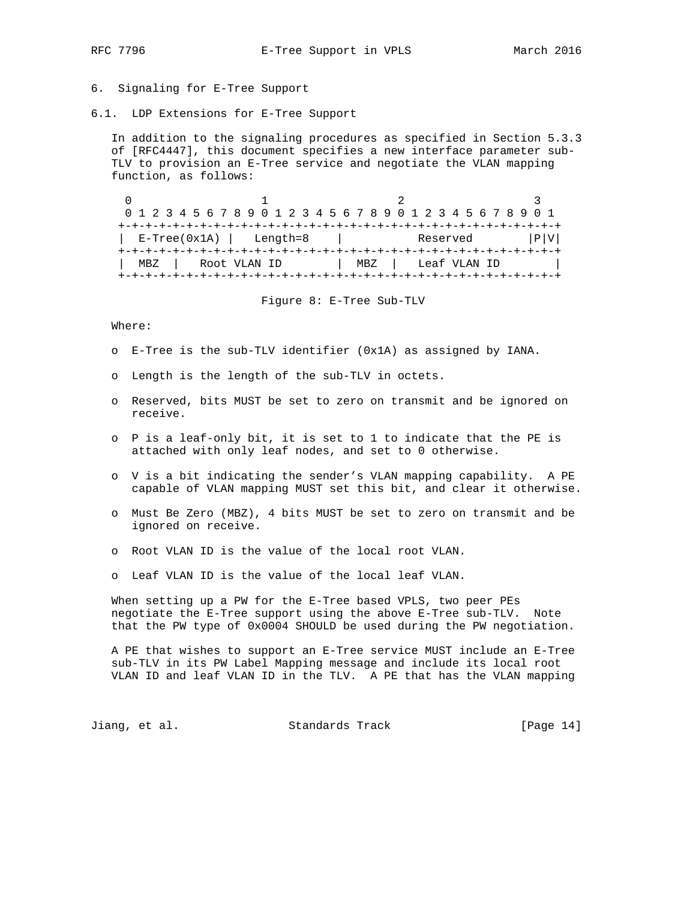#### 6. Signaling for E-Tree Support

6.1. LDP Extensions for E-Tree Support

 In addition to the signaling procedures as specified in Section 5.3.3 of [RFC4447], this document specifies a new interface parameter sub- TLV to provision an E-Tree service and negotiate the VLAN mapping function, as follows:

 $0$  1 2 3 0 1 2 3 4 5 6 7 8 9 0 1 2 3 4 5 6 7 8 9 0 1 2 3 4 5 6 7 8 9 0 1 +-+-+-+-+-+-+-+-+-+-+-+-+-+-+-+-+-+-+-+-+-+-+-+-+-+-+-+-+-+-+-+-+  $E-Tree(0x1A)$  Length=8 | Reserved  $|P|V|$  +-+-+-+-+-+-+-+-+-+-+-+-+-+-+-+-+-+-+-+-+-+-+-+-+-+-+-+-+-+-+-+-+ <code>MBZ</code> | <code>Root VLAN ID | MBZ</code> | <code>Leaf VLAN ID</code> +-+-+-+-+-+-+-+-+-+-+-+-+-+-+-+-+-+-+-+-+-+-+-+-+-+-+-+-+-+-+-+-+

Figure 8: E-Tree Sub-TLV

Where:

- o E-Tree is the sub-TLV identifier (0x1A) as assigned by IANA.
- o Length is the length of the sub-TLV in octets.
- o Reserved, bits MUST be set to zero on transmit and be ignored on receive.
- o P is a leaf-only bit, it is set to 1 to indicate that the PE is attached with only leaf nodes, and set to 0 otherwise.
- o V is a bit indicating the sender's VLAN mapping capability. A PE capable of VLAN mapping MUST set this bit, and clear it otherwise.
- o Must Be Zero (MBZ), 4 bits MUST be set to zero on transmit and be ignored on receive.
- o Root VLAN ID is the value of the local root VLAN.
- o Leaf VLAN ID is the value of the local leaf VLAN.

 When setting up a PW for the E-Tree based VPLS, two peer PEs negotiate the E-Tree support using the above E-Tree sub-TLV. Note that the PW type of 0x0004 SHOULD be used during the PW negotiation.

 A PE that wishes to support an E-Tree service MUST include an E-Tree sub-TLV in its PW Label Mapping message and include its local root VLAN ID and leaf VLAN ID in the TLV. A PE that has the VLAN mapping

Jiang, et al. Standards Track [Page 14]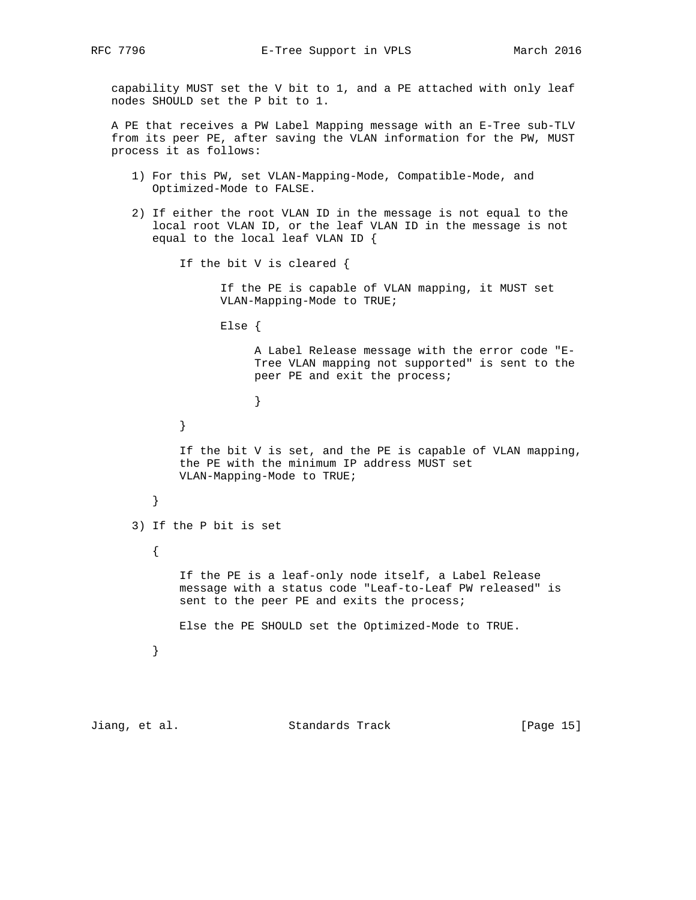capability MUST set the V bit to 1, and a PE attached with only leaf nodes SHOULD set the P bit to 1.

 A PE that receives a PW Label Mapping message with an E-Tree sub-TLV from its peer PE, after saving the VLAN information for the PW, MUST process it as follows:

- 1) For this PW, set VLAN-Mapping-Mode, Compatible-Mode, and Optimized-Mode to FALSE.
- 2) If either the root VLAN ID in the message is not equal to the local root VLAN ID, or the leaf VLAN ID in the message is not equal to the local leaf VLAN ID {

 If the bit V is cleared { If the PE is capable of VLAN mapping, it MUST set VLAN-Mapping-Mode to TRUE; Else { A Label Release message with the error code "E- Tree VLAN mapping not supported" is sent to the peer PE and exit the process; } } If the bit V is set, and the PE is capable of VLAN mapping, the PE with the minimum IP address MUST set VLAN-Mapping-Mode to TRUE; } 3) If the P bit is set  $\{$  If the PE is a leaf-only node itself, a Label Release message with a status code "Leaf-to-Leaf PW released" is sent to the peer PE and exits the process; Else the PE SHOULD set the Optimized-Mode to TRUE. }

Jiang, et al. Standards Track [Page 15]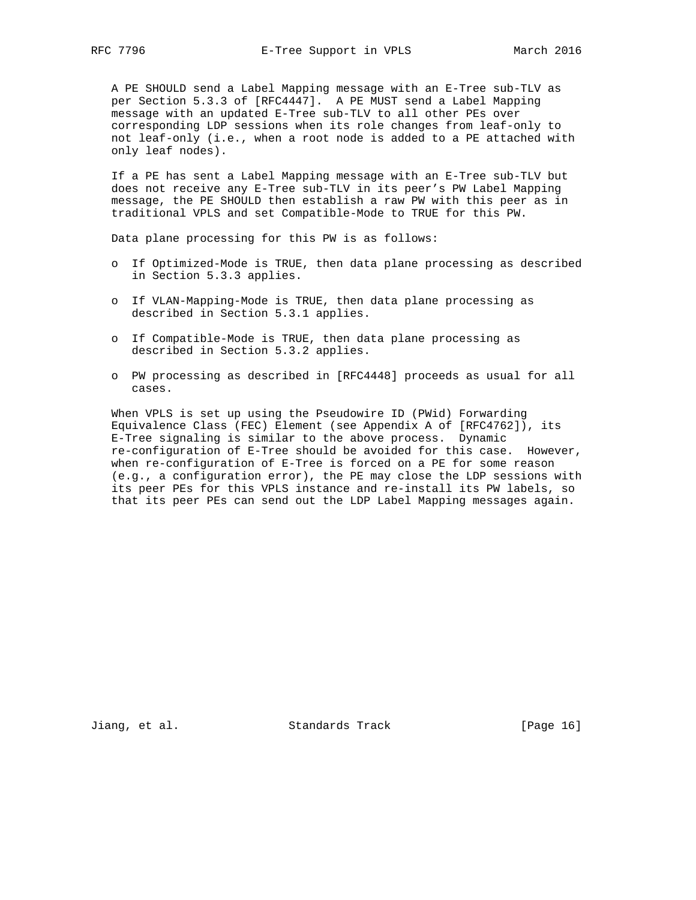A PE SHOULD send a Label Mapping message with an E-Tree sub-TLV as per Section 5.3.3 of [RFC4447]. A PE MUST send a Label Mapping message with an updated E-Tree sub-TLV to all other PEs over corresponding LDP sessions when its role changes from leaf-only to not leaf-only (i.e., when a root node is added to a PE attached with only leaf nodes).

 If a PE has sent a Label Mapping message with an E-Tree sub-TLV but does not receive any E-Tree sub-TLV in its peer's PW Label Mapping message, the PE SHOULD then establish a raw PW with this peer as in traditional VPLS and set Compatible-Mode to TRUE for this PW.

Data plane processing for this PW is as follows:

- o If Optimized-Mode is TRUE, then data plane processing as described in Section 5.3.3 applies.
- o If VLAN-Mapping-Mode is TRUE, then data plane processing as described in Section 5.3.1 applies.
- o If Compatible-Mode is TRUE, then data plane processing as described in Section 5.3.2 applies.
- o PW processing as described in [RFC4448] proceeds as usual for all cases.

 When VPLS is set up using the Pseudowire ID (PWid) Forwarding Equivalence Class (FEC) Element (see Appendix A of [RFC4762]), its E-Tree signaling is similar to the above process. Dynamic re-configuration of E-Tree should be avoided for this case. However, when re-configuration of E-Tree is forced on a PE for some reason (e.g., a configuration error), the PE may close the LDP sessions with its peer PEs for this VPLS instance and re-install its PW labels, so that its peer PEs can send out the LDP Label Mapping messages again.

Jiang, et al. Standards Track [Page 16]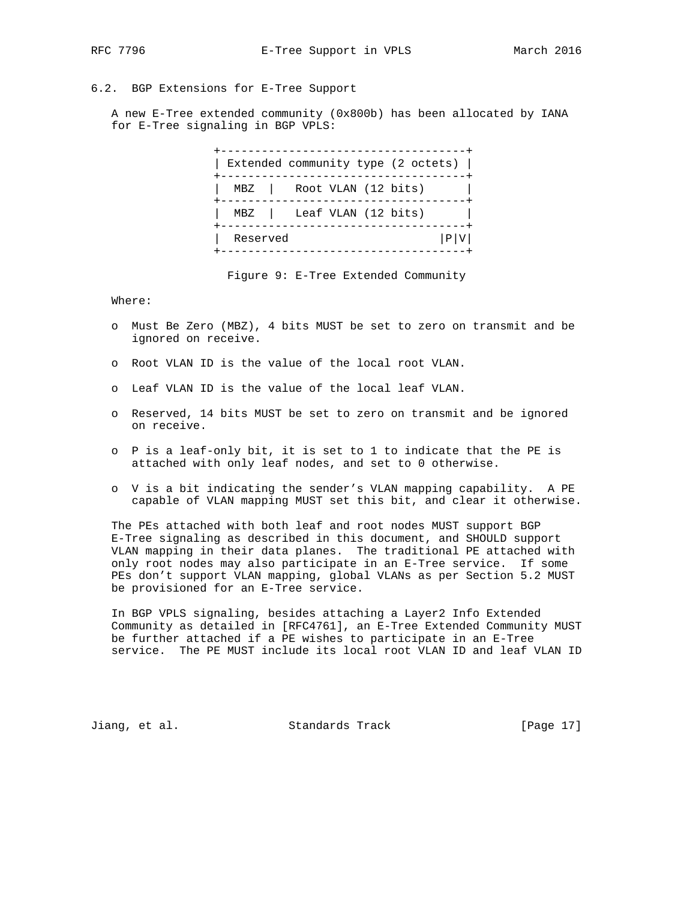6.2. BGP Extensions for E-Tree Support

 A new E-Tree extended community (0x800b) has been allocated by IANA for E-Tree signaling in BGP VPLS:

> +------------------------------------+ | Extended community type (2 octets) | +------------------------------------+ | MBZ | Root VLAN (12 bits) | +------------------------------------+ | MBZ | Leaf VLAN (12 bits) | +------------------------------------+ | Reserved |P|V| +------------------------------------+

Figure 9: E-Tree Extended Community

Where:

- o Must Be Zero (MBZ), 4 bits MUST be set to zero on transmit and be ignored on receive.
- o Root VLAN ID is the value of the local root VLAN.
- o Leaf VLAN ID is the value of the local leaf VLAN.
- o Reserved, 14 bits MUST be set to zero on transmit and be ignored on receive.
- o P is a leaf-only bit, it is set to 1 to indicate that the PE is attached with only leaf nodes, and set to 0 otherwise.
- o V is a bit indicating the sender's VLAN mapping capability. A PE capable of VLAN mapping MUST set this bit, and clear it otherwise.

 The PEs attached with both leaf and root nodes MUST support BGP E-Tree signaling as described in this document, and SHOULD support VLAN mapping in their data planes. The traditional PE attached with only root nodes may also participate in an E-Tree service. If some PEs don't support VLAN mapping, global VLANs as per Section 5.2 MUST be provisioned for an E-Tree service.

 In BGP VPLS signaling, besides attaching a Layer2 Info Extended Community as detailed in [RFC4761], an E-Tree Extended Community MUST be further attached if a PE wishes to participate in an E-Tree service. The PE MUST include its local root VLAN ID and leaf VLAN ID

Jiang, et al. Standards Track [Page 17]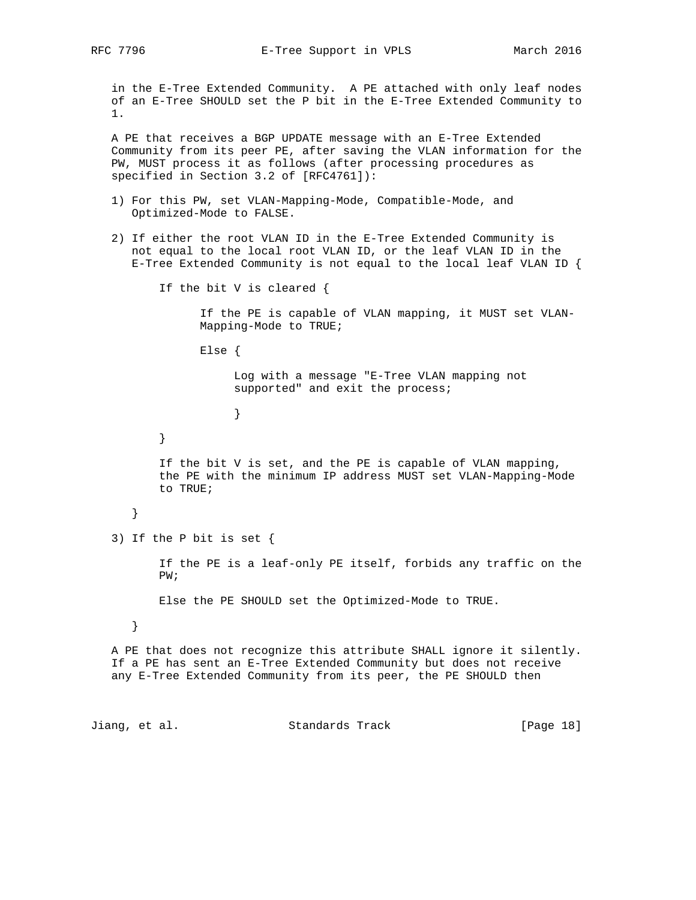in the E-Tree Extended Community. A PE attached with only leaf nodes of an E-Tree SHOULD set the P bit in the E-Tree Extended Community to 1.

 A PE that receives a BGP UPDATE message with an E-Tree Extended Community from its peer PE, after saving the VLAN information for the PW, MUST process it as follows (after processing procedures as specified in Section 3.2 of [RFC4761]):

- 1) For this PW, set VLAN-Mapping-Mode, Compatible-Mode, and Optimized-Mode to FALSE.
- 2) If either the root VLAN ID in the E-Tree Extended Community is not equal to the local root VLAN ID, or the leaf VLAN ID in the E-Tree Extended Community is not equal to the local leaf VLAN ID  $\{$

```
 If the bit V is cleared {
```
 If the PE is capable of VLAN mapping, it MUST set VLAN- Mapping-Mode to TRUE;

Else {

 Log with a message "E-Tree VLAN mapping not supported" and exit the process;

 } }

> If the bit V is set, and the PE is capable of VLAN mapping, the PE with the minimum IP address MUST set VLAN-Mapping-Mode to TRUE;

## }

3) If the P bit is set {

 If the PE is a leaf-only PE itself, forbids any traffic on the PW;

Else the PE SHOULD set the Optimized-Mode to TRUE.

}

 A PE that does not recognize this attribute SHALL ignore it silently. If a PE has sent an E-Tree Extended Community but does not receive any E-Tree Extended Community from its peer, the PE SHOULD then

Jiang, et al. Standards Track [Page 18]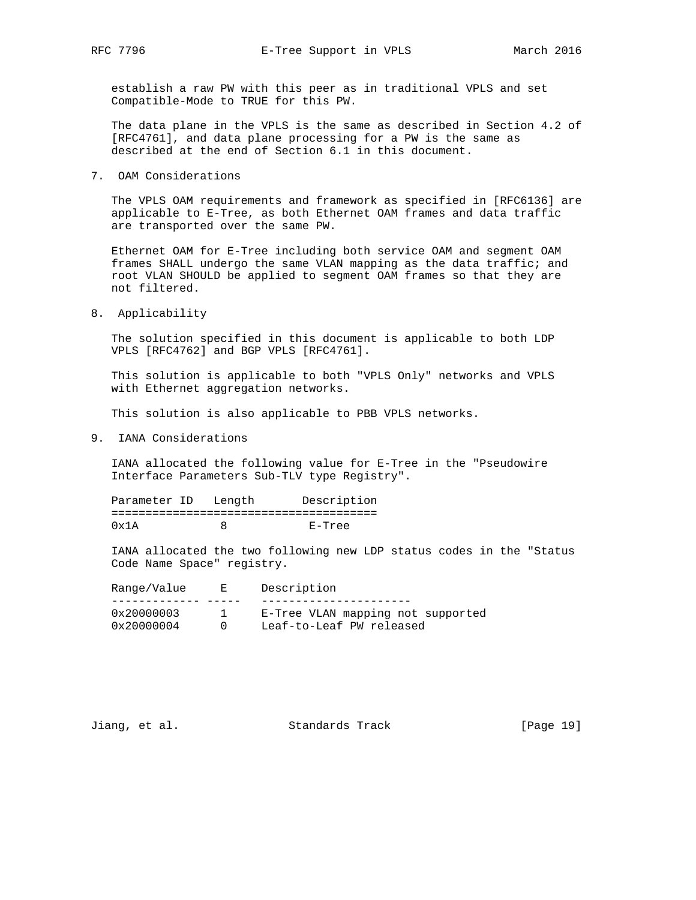establish a raw PW with this peer as in traditional VPLS and set Compatible-Mode to TRUE for this PW.

 The data plane in the VPLS is the same as described in Section 4.2 of [RFC4761], and data plane processing for a PW is the same as described at the end of Section 6.1 in this document.

7. OAM Considerations

 The VPLS OAM requirements and framework as specified in [RFC6136] are applicable to E-Tree, as both Ethernet OAM frames and data traffic are transported over the same PW.

 Ethernet OAM for E-Tree including both service OAM and segment OAM frames SHALL undergo the same VLAN mapping as the data traffic; and root VLAN SHOULD be applied to segment OAM frames so that they are not filtered.

8. Applicability

 The solution specified in this document is applicable to both LDP VPLS [RFC4762] and BGP VPLS [RFC4761].

 This solution is applicable to both "VPLS Only" networks and VPLS with Ethernet aggregation networks.

This solution is also applicable to PBB VPLS networks.

9. IANA Considerations

 IANA allocated the following value for E-Tree in the "Pseudowire Interface Parameters Sub-TLV type Registry".

Parameter ID Length Description ======================================= 0x1A 8 E-Tree

 IANA allocated the two following new LDP status codes in the "Status Code Name Space" registry.

| Range/Value<br>E                           | Description                                                   |
|--------------------------------------------|---------------------------------------------------------------|
|                                            |                                                               |
| $0 \times 20000003$<br>$0 \times 20000004$ | E-Tree VLAN mapping not supported<br>Leaf-to-Leaf PW released |
|                                            |                                                               |

| Jıanq | al |
|-------|----|
|       |    |

Standards Track [Page 19]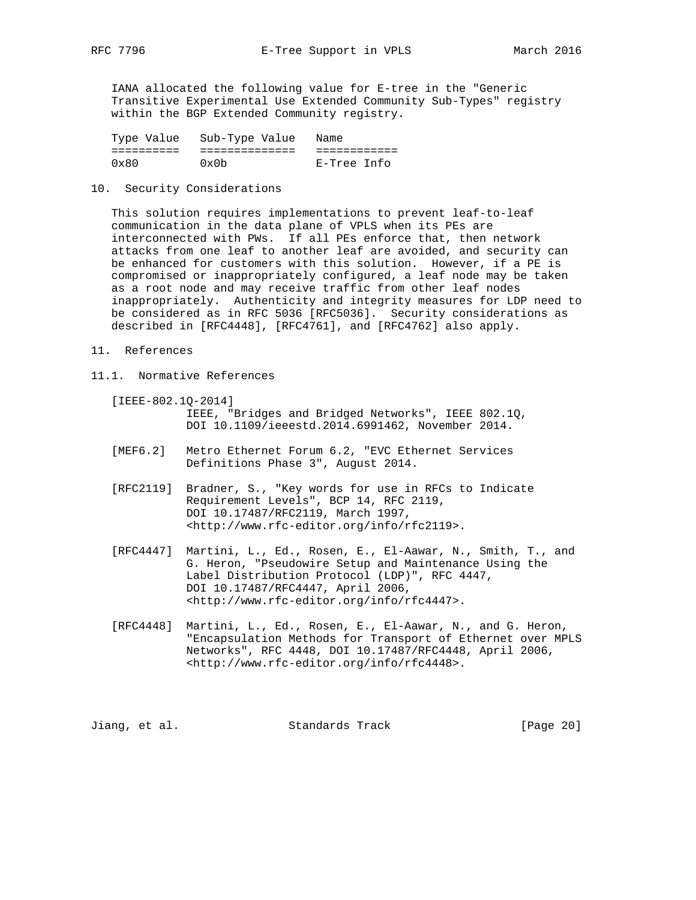IANA allocated the following value for E-tree in the "Generic Transitive Experimental Use Extended Community Sub-Types" registry within the BGP Extended Community registry.

| Type Value | Sub-Type Value | Name        |
|------------|----------------|-------------|
|            |                |             |
| 0x80       | 0x0b           | E-Tree Info |

10. Security Considerations

 This solution requires implementations to prevent leaf-to-leaf communication in the data plane of VPLS when its PEs are interconnected with PWs. If all PEs enforce that, then network attacks from one leaf to another leaf are avoided, and security can be enhanced for customers with this solution. However, if a PE is compromised or inappropriately configured, a leaf node may be taken as a root node and may receive traffic from other leaf nodes inappropriately. Authenticity and integrity measures for LDP need to be considered as in RFC 5036 [RFC5036]. Security considerations as described in [RFC4448], [RFC4761], and [RFC4762] also apply.

- 11. References
- 11.1. Normative References

| $[IEEE-802.10-2014]$                               |  |  |  |  |
|----------------------------------------------------|--|--|--|--|
| IEEE, "Bridges and Bridged Networks", IEEE 802.10, |  |  |  |  |
| DOI 10.1109/ieeestd.2014.6991462, November 2014.   |  |  |  |  |

- [MEF6.2] Metro Ethernet Forum 6.2, "EVC Ethernet Services Definitions Phase 3", August 2014.
- [RFC2119] Bradner, S., "Key words for use in RFCs to Indicate Requirement Levels", BCP 14, RFC 2119, DOI 10.17487/RFC2119, March 1997, <http://www.rfc-editor.org/info/rfc2119>.
- [RFC4447] Martini, L., Ed., Rosen, E., El-Aawar, N., Smith, T., and G. Heron, "Pseudowire Setup and Maintenance Using the Label Distribution Protocol (LDP)", RFC 4447, DOI 10.17487/RFC4447, April 2006, <http://www.rfc-editor.org/info/rfc4447>.
- [RFC4448] Martini, L., Ed., Rosen, E., El-Aawar, N., and G. Heron, "Encapsulation Methods for Transport of Ethernet over MPLS Networks", RFC 4448, DOI 10.17487/RFC4448, April 2006, <http://www.rfc-editor.org/info/rfc4448>.

Jiang, et al. Standards Track [Page 20]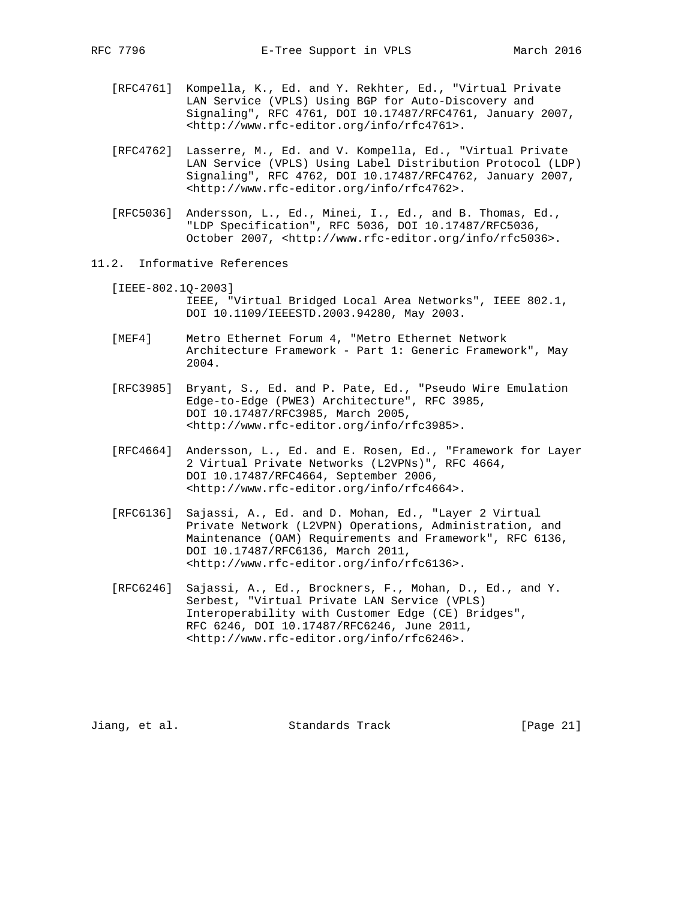- [RFC4761] Kompella, K., Ed. and Y. Rekhter, Ed., "Virtual Private LAN Service (VPLS) Using BGP for Auto-Discovery and Signaling", RFC 4761, DOI 10.17487/RFC4761, January 2007, <http://www.rfc-editor.org/info/rfc4761>.
- [RFC4762] Lasserre, M., Ed. and V. Kompella, Ed., "Virtual Private LAN Service (VPLS) Using Label Distribution Protocol (LDP) Signaling", RFC 4762, DOI 10.17487/RFC4762, January 2007, <http://www.rfc-editor.org/info/rfc4762>.
- [RFC5036] Andersson, L., Ed., Minei, I., Ed., and B. Thomas, Ed., "LDP Specification", RFC 5036, DOI 10.17487/RFC5036, October 2007, <http://www.rfc-editor.org/info/rfc5036>.
- 11.2. Informative References
	- [IEEE-802.1Q-2003] IEEE, "Virtual Bridged Local Area Networks", IEEE 802.1, DOI 10.1109/IEEESTD.2003.94280, May 2003.
	- [MEF4] Metro Ethernet Forum 4, "Metro Ethernet Network Architecture Framework - Part 1: Generic Framework", May 2004.
	- [RFC3985] Bryant, S., Ed. and P. Pate, Ed., "Pseudo Wire Emulation Edge-to-Edge (PWE3) Architecture", RFC 3985, DOI 10.17487/RFC3985, March 2005, <http://www.rfc-editor.org/info/rfc3985>.
	- [RFC4664] Andersson, L., Ed. and E. Rosen, Ed., "Framework for Layer 2 Virtual Private Networks (L2VPNs)", RFC 4664, DOI 10.17487/RFC4664, September 2006, <http://www.rfc-editor.org/info/rfc4664>.
	- [RFC6136] Sajassi, A., Ed. and D. Mohan, Ed., "Layer 2 Virtual Private Network (L2VPN) Operations, Administration, and Maintenance (OAM) Requirements and Framework", RFC 6136, DOI 10.17487/RFC6136, March 2011, <http://www.rfc-editor.org/info/rfc6136>.
	- [RFC6246] Sajassi, A., Ed., Brockners, F., Mohan, D., Ed., and Y. Serbest, "Virtual Private LAN Service (VPLS) Interoperability with Customer Edge (CE) Bridges", RFC 6246, DOI 10.17487/RFC6246, June 2011, <http://www.rfc-editor.org/info/rfc6246>.

Jiang, et al. Standards Track [Page 21]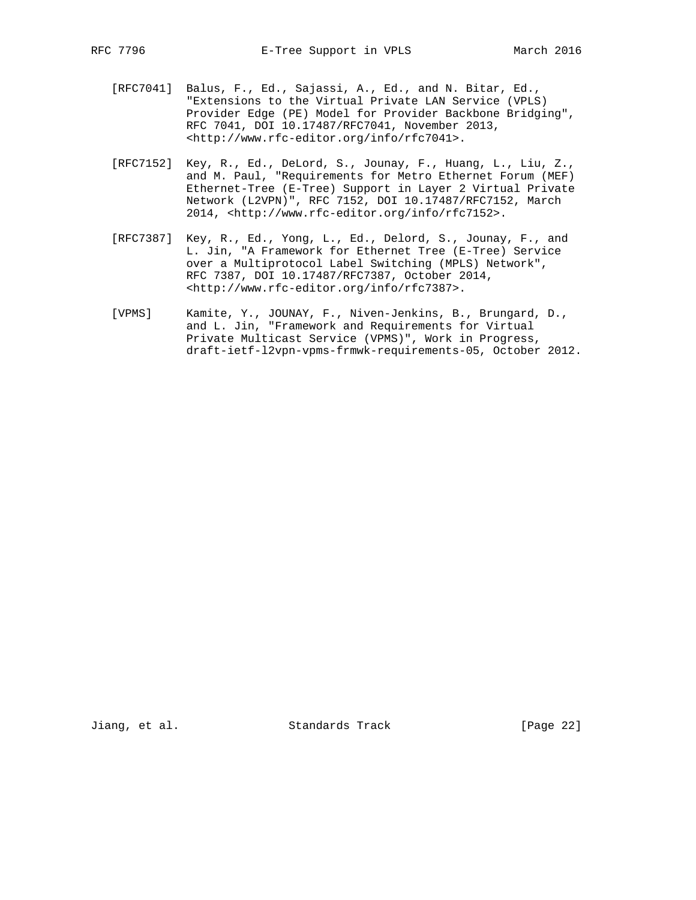- [RFC7041] Balus, F., Ed., Sajassi, A., Ed., and N. Bitar, Ed., "Extensions to the Virtual Private LAN Service (VPLS) Provider Edge (PE) Model for Provider Backbone Bridging", RFC 7041, DOI 10.17487/RFC7041, November 2013, <http://www.rfc-editor.org/info/rfc7041>.
- [RFC7152] Key, R., Ed., DeLord, S., Jounay, F., Huang, L., Liu, Z., and M. Paul, "Requirements for Metro Ethernet Forum (MEF) Ethernet-Tree (E-Tree) Support in Layer 2 Virtual Private Network (L2VPN)", RFC 7152, DOI 10.17487/RFC7152, March 2014, <http://www.rfc-editor.org/info/rfc7152>.
- [RFC7387] Key, R., Ed., Yong, L., Ed., Delord, S., Jounay, F., and L. Jin, "A Framework for Ethernet Tree (E-Tree) Service over a Multiprotocol Label Switching (MPLS) Network", RFC 7387, DOI 10.17487/RFC7387, October 2014, <http://www.rfc-editor.org/info/rfc7387>.
- [VPMS] Kamite, Y., JOUNAY, F., Niven-Jenkins, B., Brungard, D., and L. Jin, "Framework and Requirements for Virtual Private Multicast Service (VPMS)", Work in Progress, draft-ietf-l2vpn-vpms-frmwk-requirements-05, October 2012.

Jiang, et al. Standards Track [Page 22]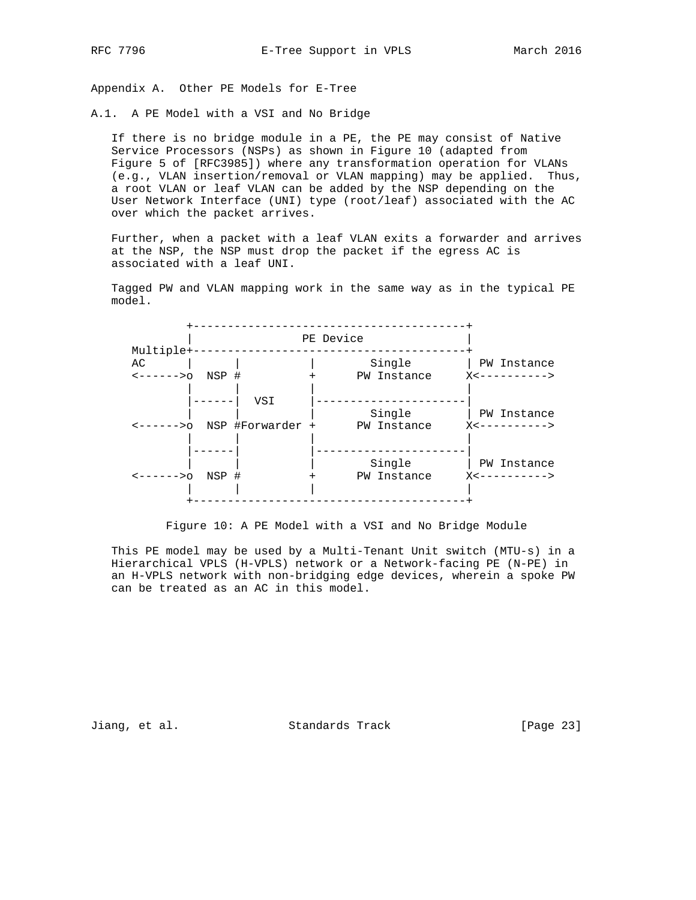Appendix A. Other PE Models for E-Tree

A.1. A PE Model with a VSI and No Bridge

 If there is no bridge module in a PE, the PE may consist of Native Service Processors (NSPs) as shown in Figure 10 (adapted from Figure 5 of [RFC3985]) where any transformation operation for VLANs (e.g., VLAN insertion/removal or VLAN mapping) may be applied. Thus, a root VLAN or leaf VLAN can be added by the NSP depending on the User Network Interface (UNI) type (root/leaf) associated with the AC over which the packet arrives.

 Further, when a packet with a leaf VLAN exits a forwarder and arrives at the NSP, the NSP must drop the packet if the egress AC is associated with a leaf UNI.

 Tagged PW and VLAN mapping work in the same way as in the typical PE model.



Figure 10: A PE Model with a VSI and No Bridge Module

 This PE model may be used by a Multi-Tenant Unit switch (MTU-s) in a Hierarchical VPLS (H-VPLS) network or a Network-facing PE (N-PE) in an H-VPLS network with non-bridging edge devices, wherein a spoke PW can be treated as an AC in this model.

Jiang, et al. Standards Track [Page 23]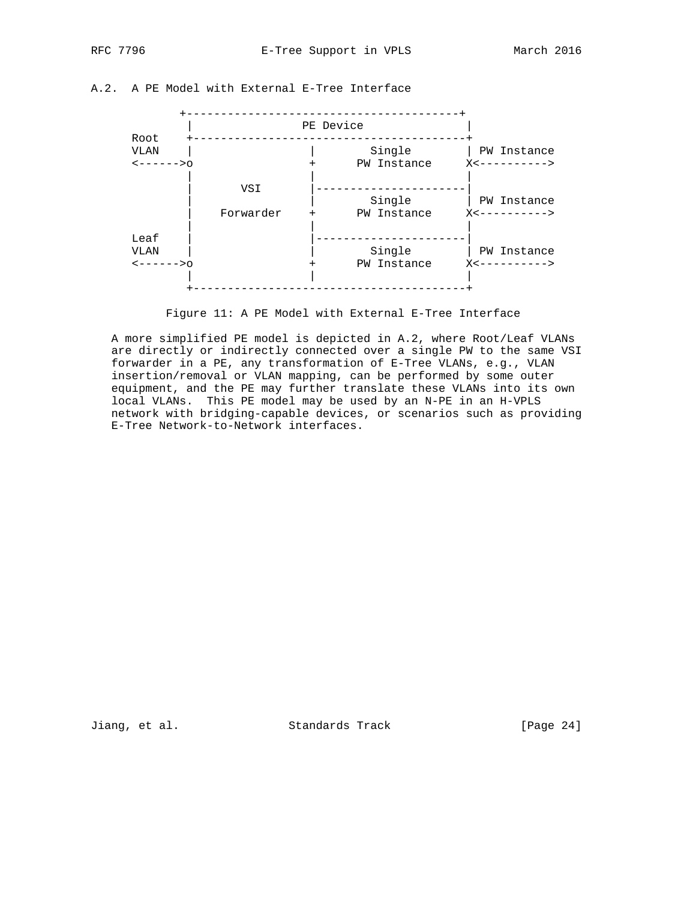A.2. A PE Model with External E-Tree Interface





 A more simplified PE model is depicted in A.2, where Root/Leaf VLANs are directly or indirectly connected over a single PW to the same VSI forwarder in a PE, any transformation of E-Tree VLANs, e.g., VLAN insertion/removal or VLAN mapping, can be performed by some outer equipment, and the PE may further translate these VLANs into its own local VLANs. This PE model may be used by an N-PE in an H-VPLS network with bridging-capable devices, or scenarios such as providing E-Tree Network-to-Network interfaces.

Jiang, et al. Standards Track [Page 24]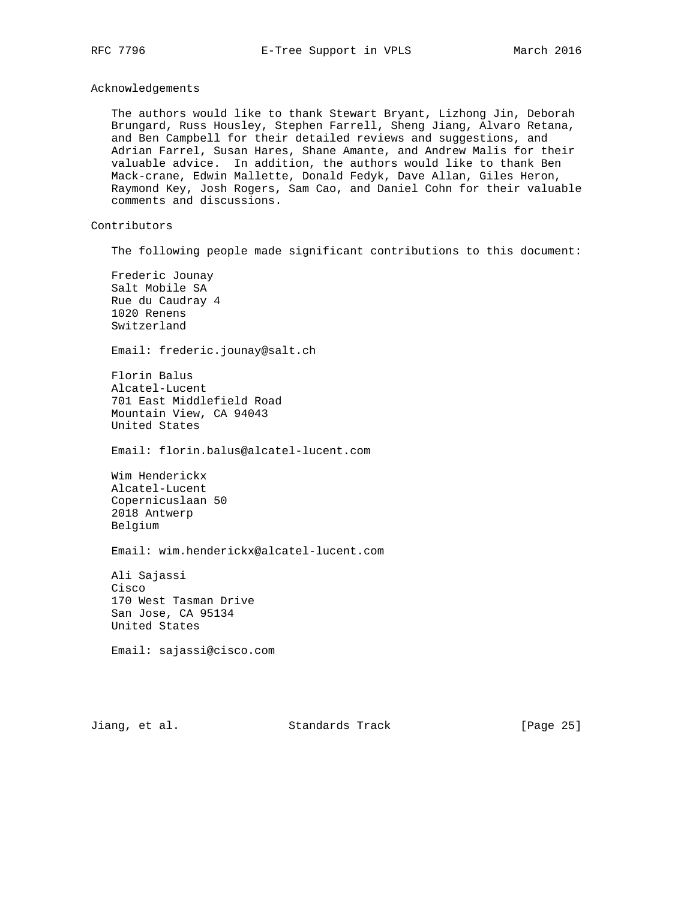### Acknowledgements

 The authors would like to thank Stewart Bryant, Lizhong Jin, Deborah Brungard, Russ Housley, Stephen Farrell, Sheng Jiang, Alvaro Retana, and Ben Campbell for their detailed reviews and suggestions, and Adrian Farrel, Susan Hares, Shane Amante, and Andrew Malis for their valuable advice. In addition, the authors would like to thank Ben Mack-crane, Edwin Mallette, Donald Fedyk, Dave Allan, Giles Heron, Raymond Key, Josh Rogers, Sam Cao, and Daniel Cohn for their valuable comments and discussions.

# Contributors

The following people made significant contributions to this document:

 Frederic Jounay Salt Mobile SA Rue du Caudray 4 1020 Renens Switzerland Email: frederic.jounay@salt.ch Florin Balus Alcatel-Lucent 701 East Middlefield Road Mountain View, CA 94043

United States

Email: florin.balus@alcatel-lucent.com

 Wim Henderickx Alcatel-Lucent Copernicuslaan 50 2018 Antwerp Belgium

Email: wim.henderickx@alcatel-lucent.com

 Ali Sajassi Cisco 170 West Tasman Drive San Jose, CA 95134 United States

Email: sajassi@cisco.com

Jiang, et al. Standards Track [Page 25]